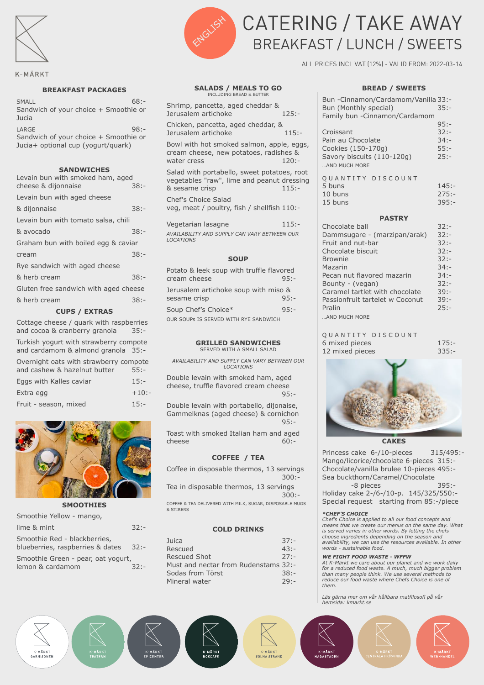

## K-MÄRKT

### **BREAKFAST PACKAGES**

 $SMAll$  68:-Sandwich of your choice + Smoothie or **Jucia** LARGE 98:-Sandwich of your choice + Smoothie or Jucia+ optional cup (yogurt/quark)

**SANDWICHES**

| Levain bun with smoked ham, aged      |         |
|---------------------------------------|---------|
| cheese & dijonnaise                   | $38: -$ |
| Levain bun with aged cheese           |         |
| & dijonnaise                          | $38: -$ |
| Levain bun with tomato salsa, chili   |         |
| & avocado                             | 38:-    |
| Graham bun with boiled egg & caviar   |         |
| cream                                 | $38: -$ |
| Rye sandwich with aged cheese         |         |
| & herb cream                          | 38:-    |
| Gluten free sandwich with aged cheese |         |
| & herb cream                          | $38: -$ |
| <b>CUPS / EXTRAS</b>                  |         |

| Cottage cheese / quark with raspberries<br>and cocoa & cranberry granola     | $35: -$  |
|------------------------------------------------------------------------------|----------|
| Turkish yogurt with strawberry compote<br>and cardamom & almond granola 35:- |          |
| Overnight oats with strawberry compote<br>and cashew & hazelnut butter       | $55: -$  |
| Eggs with Kalles caviar                                                      | $15: -$  |
| Extra egg                                                                    | $+10: -$ |
| Fruit - season, mixed                                                        | $15: -$  |



### **SMOOTHIES**

| Smoothie Yellow - mango,                                         |         |
|------------------------------------------------------------------|---------|
| lime & mint                                                      | 32:     |
| Smoothie Red - blackberries,<br>blueberries, raspberries & dates | $32: -$ |
| Smoothie Green - pear, oat yogurt,<br>lemon & cardamom           | $32 -$  |
|                                                                  |         |



# CATERING / TAKE AWAY BREAKFAST / LUNCH / SWEETS

ALL PRICES INCL VAT (12%) - VALID FROM: 2022-03-14

#### **SALADS / MEALS TO GO** INCLUDING BREAD & BUTTER

Shrimp, pancetta, aged cheddar & Jerusalem artichoke 125:-

Chicken, pancetta, aged cheddar, & Jerusalem artichoke 115:-

Bowl with hot smoked salmon, apple, eggs, cream cheese, new potatoes, radishes & water cress and 120:-

Salad with portabello, sweet potatoes, root vegetables "raw", lime and peanut dressing & sesame crisp 115:-

Chef's Choice Salad veg, meat / poultry, fish / shellfish 110:-

Vegetarian lasagne 115:-*AVAILABILITY AND SUPPLY CAN VARY BETWEEN OUR LOCATIONS*

### **SOUP**

| Potato & leek soup with truffle flavored |         |
|------------------------------------------|---------|
| cream cheese                             | $95: -$ |
| Jerusalem artichoke soup with miso &     |         |
| sesame crisp                             | $95: -$ |
| Soup Chef's Choice*                      | $95: -$ |

OUR SOUPs IS SERVED WITH RYE SANDWICH

### **GRILLED SANDWICHES** SERVED WITH A SMALL SALAD

*AVAILABILITY AND SUPPLY CAN VARY BETWEEN OUR LOCATIONS*

Double levain with smoked ham, aged cheese, truffle flavored cream cheese  $95 -$ 

Double levain with portabello, dijonaise, Gammelknas (aged cheese) & cornichon 95:-

Toast with smoked Italian ham and aged cheese 60:-

## **COFFEE / TEA**

Coffee in disposable thermos, 13 servings 300:-

Tea in disposable thermos, 13 servings 300:-

COFFEE & TEA DELIVERED WITH MILK, SUGAR, DISPOSABLE MUGS & STIRERS

### **COLD DRINKS**

| Juica                                | $37: -$ |
|--------------------------------------|---------|
| Rescued                              | $43: -$ |
| <b>Rescued Shot</b>                  | $27: -$ |
| Must and nectar from Rudenstams 32:- |         |
| Sodas from Törst                     | 38:     |
| Mineral water                        | $79: -$ |



| Bun -Cinnamon/Cardamom/Vanilla 33:-         |          |  |
|---------------------------------------------|----------|--|
| Bun (Monthly special)                       | $35: -$  |  |
| Family bun - Cinnamon/Cardamom              |          |  |
|                                             | $95: -$  |  |
| Croissant                                   | $32: -$  |  |
| Pain au Chocolate                           | $34: -$  |  |
| Cookies (150-170g)                          | $55: -$  |  |
| Savory biscuits (110-120g)<br>AND MUCH MORE | $25: -$  |  |
| QUANTITY DISCOUNT                           |          |  |
| 5 buns                                      | $145: -$ |  |
| 10 buns                                     | $275: -$ |  |
| 15 buns                                     | $395: -$ |  |
| <b>PASTRY</b>                               |          |  |
| Chocolate ball                              | $32: -$  |  |
| Dammsugare - (marzipan/arak)                | $32: -$  |  |
| Fruit and nut-bar                           | $32: -$  |  |
| Chocolate biscuit                           | $32: -$  |  |
| <b>Rrownic</b>                              | 22.1     |  |

| Fruit and nut-bar               | $32: -$ |
|---------------------------------|---------|
| Chocolate biscuit               | $32: -$ |
| <b>Brownie</b>                  | $32: -$ |
| Mazarin                         | $34: -$ |
| Pecan nut flavored mazarin      | $34: -$ |
| Bounty - (vegan)                | $32: -$ |
| Caramel tartlet with chocolate  | $39: -$ |
| Passionfruit tartelet w Coconut | $39: -$ |
| Pralin                          | $25: -$ |
|                                 |         |

…AND MUCH MORE

### Q U A N T I T Y D I S C O U N T 6 mixed pieces 175:- 12 mixed pieces 335:-



# **CAKES**

Princess cake 6-/10-pieces 315/495:-Mango/licorice/chocolate 6-pieces 315:- Chocolate/vanilla brulee 10-pieces 495:- Sea buckthorn/Caramel/Chocolate

-8 pieces 395:- Holiday cake 2-/6-/10-p. 145/325/550:- Special request starting from 85:-/piece

### *\*CHEF'S CHOICE*

*Chef's Choice is applied to all our food concepts and means that we create our menus on the same day. What is served varies in other words. By letting the chefs choose ingredients depending on the season and availability, we can use the resources available. In other words - sustainable food.* 

## *WE FIGHT FOOD WASTE - WFFW*

*At K-Märkt we care about our planet and we work daily for a reduced food waste. A much, much bigger problem than many people think. We use several methods to reduce our food waste where Chefs Choice is one of them.* 

*Läs gärna mer om vår hållbara matfilosofi på vår hemsida: kmarkt.se*